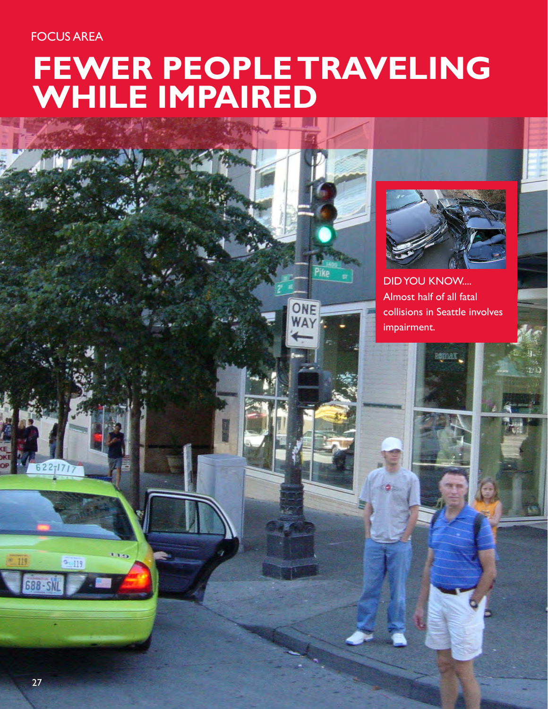# FOCUS AREA

# **FEWER PEOPLE TRAVELING WHILE IMPAIRED**





DID YOU KNOW.... Almost half of all fatal collisions in Seattle involves impairment.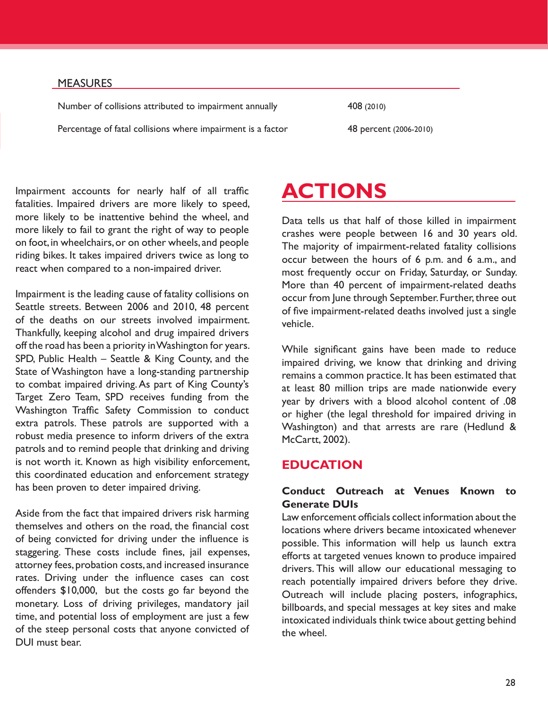28

#### MEASURES

Number of collisions attributed to impairment annually 408 (2010)

Percentage of fatal collisions where impairment is a factor 48 percent (2006-2010)

Impairment accounts for nearly half of all traffic fatalities. Impaired drivers are more likely to speed, more likely to be inattentive behind the wheel, and more likely to fail to grant the right of way to people on foot, in wheelchairs, or on other wheels, and people riding bikes. It takes impaired drivers twice as long to react when compared to a non-impaired driver.

Impairment is the leading cause of fatality collisions on Seattle streets. Between 2006 and 2010, 48 percent of the deaths on our streets involved impairment. Thankfully, keeping alcohol and drug impaired drivers off the road has been a priority in Washington for years. SPD, Public Health – Seattle & King County, and the State of Washington have a long-standing partnership to combat impaired driving. As part of King County's Target Zero Team, SPD receives funding from the Washington Traffic Safety Commission to conduct extra patrols. These patrols are supported with a robust media presence to inform drivers of the extra patrols and to remind people that drinking and driving is not worth it. Known as high visibility enforcement, this coordinated education and enforcement strategy has been proven to deter impaired driving.

Aside from the fact that impaired drivers risk harming themselves and others on the road, the financial cost of being convicted for driving under the influence is staggering. These costs include fines, jail expenses, attorney fees, probation costs, and increased insurance rates. Driving under the influence cases can cost offenders \$10,000, but the costs go far beyond the monetary. Loss of driving privileges, mandatory jail time, and potential loss of employment are just a few of the steep personal costs that anyone convicted of DUI must bear.

# **ACTIONS**

Data tells us that half of those killed in impairment crashes were people between 16 and 30 years old. The majority of impairment-related fatality collisions occur between the hours of 6 p.m. and 6 a.m., and most frequently occur on Friday, Saturday, or Sunday. More than 40 percent of impairment-related deaths occur from June through September. Further, three out of five impairment-related deaths involved just a single vehicle.

While significant gains have been made to reduce impaired driving, we know that drinking and driving remains a common practice. It has been estimated that at least 80 million trips are made nationwide every year by drivers with a blood alcohol content of .08 or higher (the legal threshold for impaired driving in Washington) and that arrests are rare (Hedlund & McCartt, 2002).

# **EDUCATION**

## **Conduct Outreach at Venues Known to Generate DUIs**

Law enforcement officials collect information about the locations where drivers became intoxicated whenever possible. This information will help us launch extra efforts at targeted venues known to produce impaired drivers. This will allow our educational messaging to reach potentially impaired drivers before they drive. Outreach will include placing posters, infographics, billboards, and special messages at key sites and make intoxicated individuals think twice about getting behind the wheel.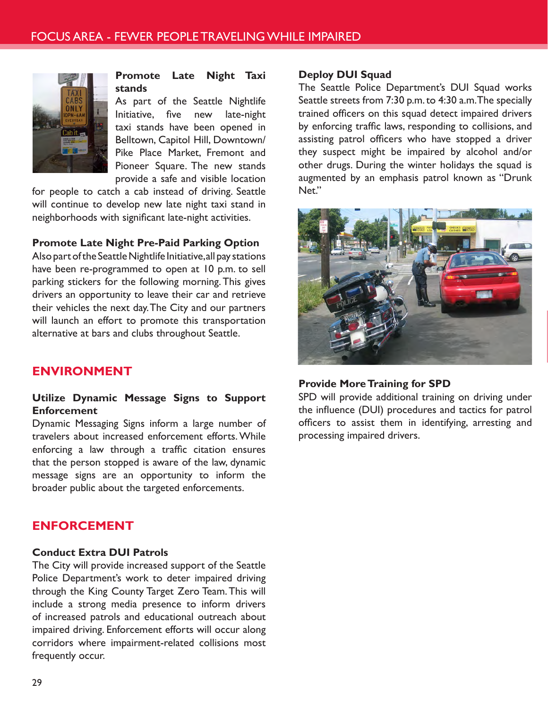

**Promote Late Night Taxi stands** 

As part of the Seattle Nightlife Initiative, five new late-night taxi stands have been opened in Belltown, Capitol Hill, Downtown/ Pike Place Market, Fremont and Pioneer Square. The new stands provide a safe and visible location

for people to catch a cab instead of driving. Seattle will continue to develop new late night taxi stand in neighborhoods with significant late-night activities.

#### **Promote Late Night Pre-Paid Parking Option**

Also part of the Seattle Nightlife Initiative, all pay stations have been re-programmed to open at 10 p.m. to sell parking stickers for the following morning. This gives drivers an opportunity to leave their car and retrieve their vehicles the next day. The City and our partners will launch an effort to promote this transportation alternative at bars and clubs throughout Seattle.

# **ENVIRONMENT**

#### **Utilize Dynamic Message Signs to Support Enforcement**

Dynamic Messaging Signs inform a large number of travelers about increased enforcement efforts. While enforcing a law through a traffic citation ensures that the person stopped is aware of the law, dynamic message signs are an opportunity to inform the broader public about the targeted enforcements.

## **ENFORCEMENT**

#### **Conduct Extra DUI Patrols**

The City will provide increased support of the Seattle Police Department's work to deter impaired driving through the King County Target Zero Team. This will include a strong media presence to inform drivers of increased patrols and educational outreach about impaired driving. Enforcement efforts will occur along corridors where impairment-related collisions most frequently occur.

#### **Deploy DUI Squad**

The Seattle Police Department's DUI Squad works Seattle streets from 7:30 p.m. to 4:30 a.m. The specially trained officers on this squad detect impaired drivers by enforcing traffic laws, responding to collisions, and assisting patrol officers who have stopped a driver they suspect might be impaired by alcohol and/or other drugs. During the winter holidays the squad is augmented by an emphasis patrol known as "Drunk Net."



#### **Provide More Training for SPD**

SPD will provide additional training on driving under the influence (DUI) procedures and tactics for patrol officers to assist them in identifying, arresting and processing impaired drivers.